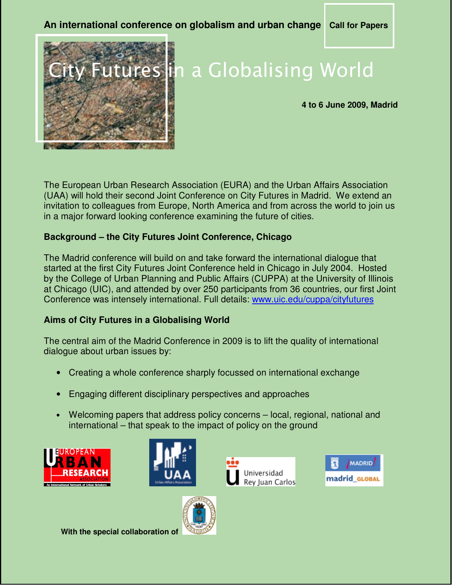# **An international conference on globalism and urban change Call for Papers**



# tures in a Globalising World

#### **4 to 6 June 2009, Madrid**

The European Urban Research Association (EURA) and the Urban Affairs Association (UAA) will hold their second Joint Conference on City Futures in Madrid. We extend an invitation to colleagues from Europe, North America and from across the world to join us in a major forward looking conference examining the future of cities.

# **Background – the City Futures Joint Conference, Chicago**

The Madrid conference will build on and take forward the international dialogue that started at the first City Futures Joint Conference held in Chicago in July 2004. Hosted by the College of Urban Planning and Public Affairs (CUPPA) at the University of Illinois at Chicago (UIC), and attended by over 250 participants from 36 countries, our first Joint Conference was intensely international. Full details: www.uic.edu/cuppa/cityfutures

# **Aims of City Futures in a Globalising World**

The central aim of the Madrid Conference in 2009 is to lift the quality of international dialogue about urban issues by:

- Creating a whole conference sharply focussed on international exchange
- Engaging different disciplinary perspectives and approaches
- Welcoming papers that address policy concerns local, regional, national and international – that speak to the impact of policy on the ground









 **With the special collaboration of**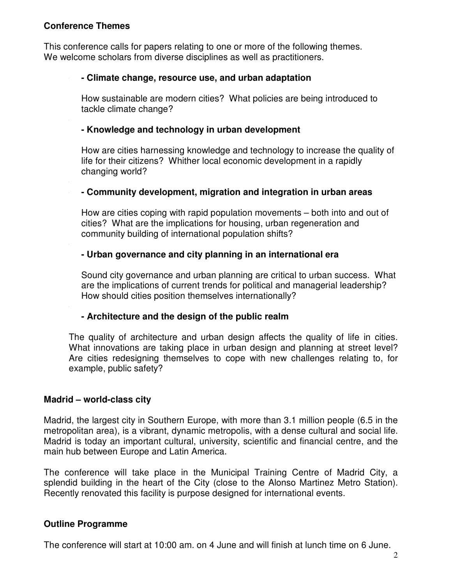# **Conference Themes**

This conference calls for papers relating to one or more of the following themes. We welcome scholars from diverse disciplines as well as practitioners.

#### **- Climate change, resource use, and urban adaptation**

How sustainable are modern cities? What policies are being introduced to tackle climate change?

# **- - Knowledge and technology in urban development**

How are cities harnessing knowledge and technology to increase the quality of life for their citizens? Whither local economic development in a rapidly changing world?

# **- - Community development, migration and integration in urban areas**

How are cities coping with rapid population movements – both into and out of cities? What are the implications for housing, urban regeneration and community building of international population shifts?

# **- Urban governance and city planning in an international era**

Sound city governance and urban planning are critical to urban success. What are the implications of current trends for political and managerial leadership? How should cities position themselves internationally?

# **- Architecture and the design of the public realm**

The quality of architecture and urban design affects the quality of life in cities. What innovations are taking place in urban design and planning at street level? Are cities redesigning themselves to cope with new challenges relating to, for example, public safety?

# **Madrid – world-class city**

Madrid, the largest city in Southern Europe, with more than 3.1 million people (6.5 in the metropolitan area), is a vibrant, dynamic metropolis, with a dense cultural and social life. Madrid is today an important cultural, university, scientific and financial centre, and the main hub between Europe and Latin America.

The conference will take place in the Municipal Training Centre of Madrid City, a splendid building in the heart of the City (close to the Alonso Martinez Metro Station). Recently renovated this facility is purpose designed for international events.

# **Outline Programme**

The conference will start at 10:00 am. on 4 June and will finish at lunch time on 6 June.